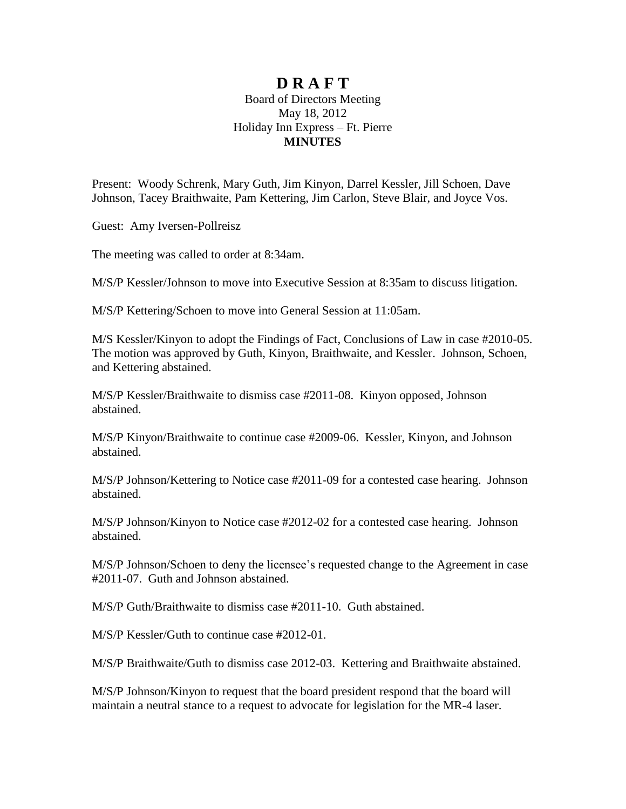## **D R A F T**

## Board of Directors Meeting May 18, 2012 Holiday Inn Express – Ft. Pierre **MINUTES**

Present: Woody Schrenk, Mary Guth, Jim Kinyon, Darrel Kessler, Jill Schoen, Dave Johnson, Tacey Braithwaite, Pam Kettering, Jim Carlon, Steve Blair, and Joyce Vos.

Guest: Amy Iversen-Pollreisz

The meeting was called to order at 8:34am.

M/S/P Kessler/Johnson to move into Executive Session at 8:35am to discuss litigation.

M/S/P Kettering/Schoen to move into General Session at 11:05am.

M/S Kessler/Kinyon to adopt the Findings of Fact, Conclusions of Law in case #2010-05. The motion was approved by Guth, Kinyon, Braithwaite, and Kessler. Johnson, Schoen, and Kettering abstained.

M/S/P Kessler/Braithwaite to dismiss case #2011-08. Kinyon opposed, Johnson abstained.

M/S/P Kinyon/Braithwaite to continue case #2009-06. Kessler, Kinyon, and Johnson abstained.

M/S/P Johnson/Kettering to Notice case #2011-09 for a contested case hearing. Johnson abstained.

M/S/P Johnson/Kinyon to Notice case #2012-02 for a contested case hearing. Johnson abstained.

M/S/P Johnson/Schoen to deny the licensee's requested change to the Agreement in case #2011-07. Guth and Johnson abstained.

M/S/P Guth/Braithwaite to dismiss case #2011-10. Guth abstained.

M/S/P Kessler/Guth to continue case #2012-01.

M/S/P Braithwaite/Guth to dismiss case 2012-03. Kettering and Braithwaite abstained.

M/S/P Johnson/Kinyon to request that the board president respond that the board will maintain a neutral stance to a request to advocate for legislation for the MR-4 laser.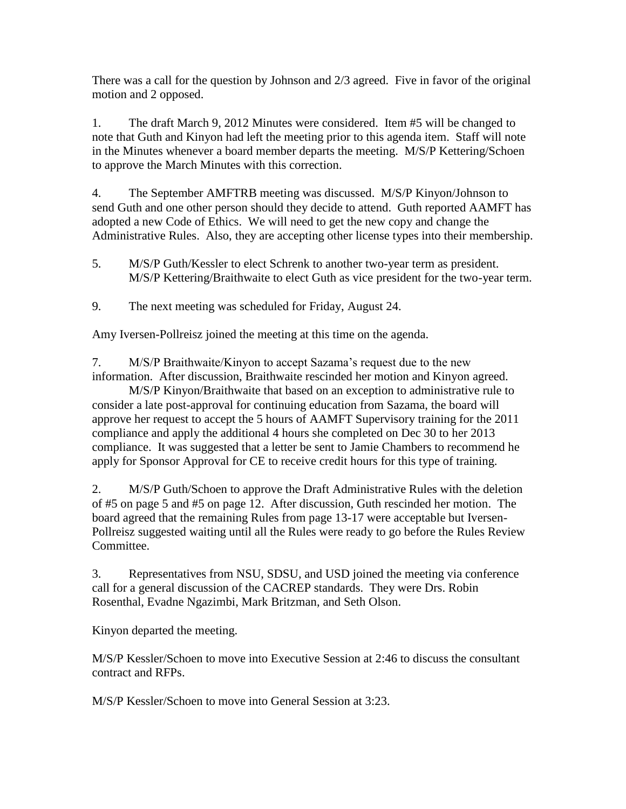There was a call for the question by Johnson and 2/3 agreed. Five in favor of the original motion and 2 opposed.

1. The draft March 9, 2012 Minutes were considered. Item #5 will be changed to note that Guth and Kinyon had left the meeting prior to this agenda item. Staff will note in the Minutes whenever a board member departs the meeting. M/S/P Kettering/Schoen to approve the March Minutes with this correction.

4. The September AMFTRB meeting was discussed. M/S/P Kinyon/Johnson to send Guth and one other person should they decide to attend. Guth reported AAMFT has adopted a new Code of Ethics. We will need to get the new copy and change the Administrative Rules. Also, they are accepting other license types into their membership.

- 5. M/S/P Guth/Kessler to elect Schrenk to another two-year term as president. M/S/P Kettering/Braithwaite to elect Guth as vice president for the two-year term.
- 9. The next meeting was scheduled for Friday, August 24.

Amy Iversen-Pollreisz joined the meeting at this time on the agenda.

7. M/S/P Braithwaite/Kinyon to accept Sazama's request due to the new information. After discussion, Braithwaite rescinded her motion and Kinyon agreed.

M/S/P Kinyon/Braithwaite that based on an exception to administrative rule to consider a late post-approval for continuing education from Sazama, the board will approve her request to accept the 5 hours of AAMFT Supervisory training for the 2011 compliance and apply the additional 4 hours she completed on Dec 30 to her 2013 compliance. It was suggested that a letter be sent to Jamie Chambers to recommend he apply for Sponsor Approval for CE to receive credit hours for this type of training.

2. M/S/P Guth/Schoen to approve the Draft Administrative Rules with the deletion of #5 on page 5 and #5 on page 12. After discussion, Guth rescinded her motion. The board agreed that the remaining Rules from page 13-17 were acceptable but Iversen-Pollreisz suggested waiting until all the Rules were ready to go before the Rules Review Committee.

3. Representatives from NSU, SDSU, and USD joined the meeting via conference call for a general discussion of the CACREP standards. They were Drs. Robin Rosenthal, Evadne Ngazimbi, Mark Britzman, and Seth Olson.

Kinyon departed the meeting.

M/S/P Kessler/Schoen to move into Executive Session at 2:46 to discuss the consultant contract and RFPs.

M/S/P Kessler/Schoen to move into General Session at 3:23.